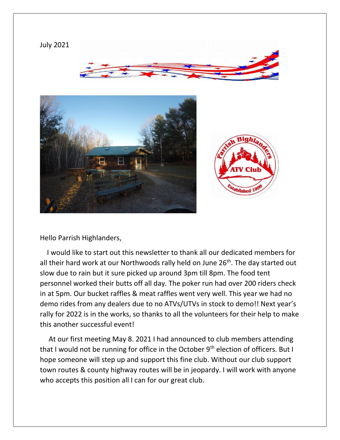

Hello Parrish Highlanders,

 I would like to start out this newsletter to thank all our dedicated members for all their hard work at our Northwoods rally held on June  $26<sup>th</sup>$ . The day started out slow due to rain but it sure picked up around 3pm till 8pm. The food tent personnel worked their butts off all day. The poker run had over 200 riders check in at 5pm. Our bucket raffles & meat raffles went very well. This year we had no demo rides from any dealers due to no ATVs/UTVs in stock to demo!! Next year's rally for 2022 is in the works, so thanks to all the volunteers for their help to make this another successful event!

 At our first meeting May 8. 2021 I had announced to club members attending that I would not be running for office in the October  $9<sup>th</sup>$  election of officers. But I hope someone will step up and support this fine club. Without our club support town routes & county highway routes will be in jeopardy. I will work with anyone who accepts this position all I can for our great club.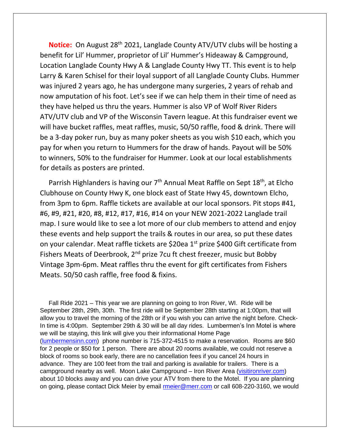**Notice:** On August 28<sup>th</sup> 2021, Langlade County ATV/UTV clubs will be hosting a benefit for Lil' Hummer, proprietor of Lil' Hummer's Hideaway & Campground, Location Langlade County Hwy A & Langlade County Hwy TT. This event is to help Larry & Karen Schisel for their loyal support of all Langlade County Clubs. Hummer was injured 2 years ago, he has undergone many surgeries, 2 years of rehab and now amputation of his foot. Let's see if we can help them in their time of need as they have helped us thru the years. Hummer is also VP of Wolf River Riders ATV/UTV club and VP of the Wisconsin Tavern league. At this fundraiser event we will have bucket raffles, meat raffles, music, 50/50 raffle, food & drink. There will be a 3-day poker run, buy as many poker sheets as you wish \$10 each, which you pay for when you return to Hummers for the draw of hands. Payout will be 50% to winners, 50% to the fundraiser for Hummer. Look at our local establishments for details as posters are printed.

Parrish Highlanders is having our 7<sup>th</sup> Annual Meat Raffle on Sept 18<sup>th</sup>, at Elcho Clubhouse on County Hwy K, one block east of State Hwy 45, downtown Elcho, from 3pm to 6pm. Raffle tickets are available at our local sponsors. Pit stops #41, #6, #9, #21, #20, #8, #12, #17, #16, #14 on your NEW 2021-2022 Langlade trail map. I sure would like to see a lot more of our club members to attend and enjoy these events and help support the trails & routes in our area, so put these dates on your calendar. Meat raffle tickets are \$20ea 1<sup>st</sup> prize \$400 Gift certificate from Fishers Meats of Deerbrook, 2<sup>nd</sup> prize 7cu ft chest freezer, music but Bobby Vintage 3pm-6pm. Meat raffles thru the event for gift certificates from Fishers Meats. 50/50 cash raffle, free food & fixins.

 Fall Ride 2021 – This year we are planning on going to Iron River, WI. Ride will be September 28th, 29th, 30th. The first ride will be September 28th starting at 1:00pm, that will allow you to travel the morning of the 28th or if you wish you can arrive the night before. Check-In time is 4:00pm. September 29th & 30 will be all day rides. Lumbermen's Inn Motel is where we will be staying, this link will give you their informational Home Page [\(lumbermensinn.com\)](http://lumbermensinn.com/) phone number is 715-372-4515 to make a reservation. Rooms are \$60 for 2 people or \$50 for 1 person. There are about 20 rooms available, we could not reserve a block of rooms so book early, there are no cancellation fees if you cancel 24 hours in advance. They are 100 feet from the trail and parking is available for trailers. There is a campground nearby as well. Moon Lake Campground – Iron River Area [\(visitironriver.com\)](http://visitironriver.com/) about 10 blocks away and you can drive your ATV from there to the Motel. If you are planning on going, please contact Dick Meier by email [rmeier@merr.com](mailto:rmeier@merr.com) or call 608-220-3160, we would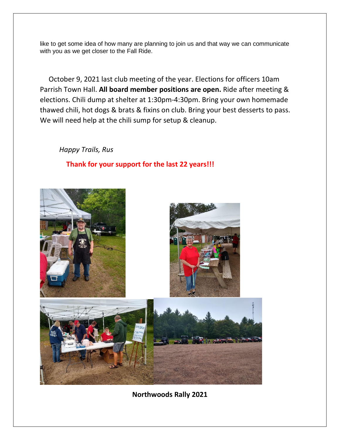like to get some idea of how many are planning to join us and that way we can communicate with you as we get closer to the Fall Ride.

 October 9, 2021 last club meeting of the year. Elections for officers 10am Parrish Town Hall. **All board member positions are open.** Ride after meeting & elections. Chili dump at shelter at 1:30pm-4:30pm. Bring your own homemade thawed chili, hot dogs & brats & fixins on club. Bring your best desserts to pass. We will need help at the chili sump for setup & cleanup.

*Happy Trails, Rus*

## **Thank for your support for the last 22 years!!!**



**Northwoods Rally 2021**